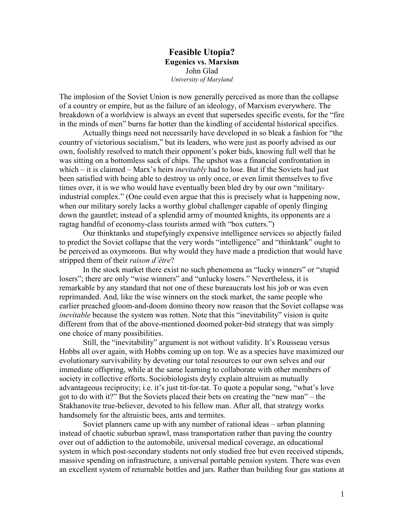**Feasible Utopia? Eugenics vs. Marxism** John Glad *University of Maryland*

The implosion of the Soviet Union is now generally perceived as more than the collapse of a country or empire, but as the failure of an ideology, of Marxism everywhere. The breakdown of a worldview is always an event that supersedes specific events, for the "fire in the minds of men" burns far hotter than the kindling of accidental historical specifics.

Actually things need not necessarily have developed in so bleak a fashion for "the country of victorious socialism," but its leaders, who were just as poorly advised as our own, foolishly resolved to match their opponent's poker bids, knowing full well that he was sitting on a bottomless sack of chips. The upshot was a financial confrontation in which – it is claimed – Marx's heirs *inevitably* had to lose. But if the Soviets had just been satisfied with being able to destroy us only once, or even limit themselves to five times over, it is we who would have eventually been bled dry by our own "militaryindustrial complex." (One could even argue that this is precisely what is happening now, when our military sorely lacks a worthy global challenger capable of openly flinging down the gauntlet; instead of a splendid army of mounted knights, its opponents are a ragtag handful of economy-class tourists armed with "box cutters.")

Our thinktanks and stupefyingly expensive intelligence services so abjectly failed to predict the Soviet collapse that the very words "intelligence" and "thinktank" ought to be perceived as oxymorons. But why would they have made a prediction that would have stripped them of their *raison d'être*?

In the stock market there exist no such phenomena as "lucky winners" or "stupid losers"; there are only "wise winners" and "unlucky losers." Nevertheless, it is remarkable by any standard that not one of these bureaucrats lost his job or was even reprimanded. And, like the wise winners on the stock market, the same people who earlier preached gloom-and-doom domino theory now reason that the Soviet collapse was *inevitable* because the system was rotten. Note that this "inevitability" vision is quite different from that of the above-mentioned doomed poker-bid strategy that was simply one choice of many possibilities.

Still, the "inevitability" argument is not without validity. It's Rousseau versus Hobbs all over again, with Hobbs coming up on top. We as a species have maximized our evolutionary survivability by devoting our total resources to our own selves and our immediate offspring, while at the same learning to collaborate with other members of society in collective efforts. Sociobiologists dryly explain altruism as mutually advantageous reciprocity; i.e. it's just tit-for-tat. To quote a popular song, "what's love got to do with it?" But the Soviets placed their bets on creating the "new man" – the Stakhanovite true-believer, devoted to his fellow man. After all, that strategy works handsomely for the altruistic bees, ants and termites.

Soviet planners came up with any number of rational ideas – urban planning instead of chaotic suburban sprawl, mass transportation rather than paving the country over out of addiction to the automobile, universal medical coverage, an educational system in which post-secondary students not only studied free but even received stipends, massive spending on infrastructure, a universal portable pension system. There was even an excellent system of returnable bottles and jars. Rather than building four gas stations at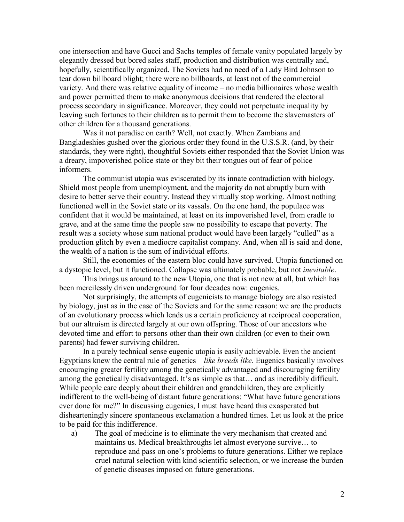one intersection and have Gucci and Sachs temples of female vanity populated largely by elegantly dressed but bored sales staff, production and distribution was centrally and, hopefully, scientifically organized. The Soviets had no need of a Lady Bird Johnson to tear down billboard blight; there were no billboards, at least not of the commercial variety. And there was relative equality of income – no media billionaires whose wealth and power permitted them to make anonymous decisions that rendered the electoral process secondary in significance. Moreover, they could not perpetuate inequality by leaving such fortunes to their children as to permit them to become the slavemasters of other children for a thousand generations.

Was it not paradise on earth? Well, not exactly. When Zambians and Bangladeshies gushed over the glorious order they found in the U.S.S.R. (and, by their standards, they were right), thoughtful Soviets either responded that the Soviet Union was a dreary, impoverished police state or they bit their tongues out of fear of police informers.

The communist utopia was eviscerated by its innate contradiction with biology. Shield most people from unemployment, and the majority do not abruptly burn with desire to better serve their country. Instead they virtually stop working. Almost nothing functioned well in the Soviet state or its vassals. On the one hand, the populace was confident that it would be maintained, at least on its impoverished level, from cradle to grave, and at the same time the people saw no possibility to escape that poverty. The result was a society whose sum national product would have been largely "culled" as a production glitch by even a mediocre capitalist company. And, when all is said and done, the wealth of a nation is the sum of individual efforts.

Still, the economies of the eastern bloc could have survived. Utopia functioned on a dystopic level, but it functioned. Collapse was ultimately probable, but not *inevitable*.

This brings us around to the new Utopia, one that is not new at all, but which has been mercilessly driven underground for four decades now: eugenics.

Not surprisingly, the attempts of eugenicists to manage biology are also resisted by biology, just as in the case of the Soviets and for the same reason: we are the products of an evolutionary process which lends us a certain proficiency at reciprocal cooperation, but our altruism is directed largely at our own offspring. Those of our ancestors who devoted time and effort to persons other than their own children (or even to their own parents) had fewer surviving children.

In a purely technical sense eugenic utopia is easily achievable. Even the ancient Egyptians knew the central rule of genetics – *like breeds like*. Eugenics basically involves encouraging greater fertility among the genetically advantaged and discouraging fertility among the genetically disadvantaged. It's as simple as that… and as incredibly difficult. While people care deeply about their children and grandchildren, they are explicitly indifferent to the well-being of distant future generations: "What have future generations ever done for me?" In discussing eugenics, I must have heard this exasperated but dishearteningly sincere spontaneous exclamation a hundred times. Let us look at the price to be paid for this indifference.

a) The goal of medicine is to eliminate the very mechanism that created and maintains us. Medical breakthroughs let almost everyone survive… to reproduce and pass on one's problems to future generations. Either we replace cruel natural selection with kind scientific selection, or we increase the burden of genetic diseases imposed on future generations.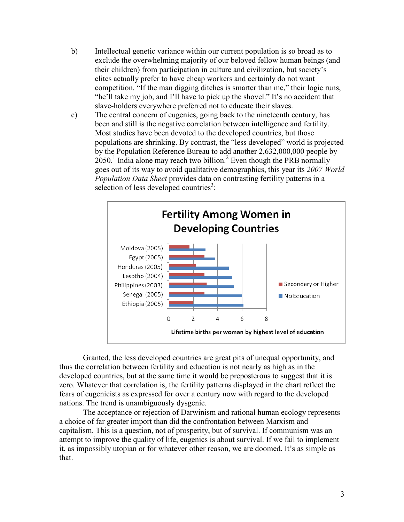- b) Intellectual genetic variance within our current population is so broad as to exclude the overwhelming majority of our beloved fellow human beings (and their children) from participation in culture and civilization, but society's elites actually prefer to have cheap workers and certainly do not want competition. "If the man digging ditches is smarter than me," their logic runs, "he'll take my job, and I'll have to pick up the shovel." It's no accident that slave-holders everywhere preferred not to educate their slaves.
- c) The central concern of eugenics, going back to the nineteenth century, has been and still is the negative correlation between intelligence and fertility. Most studies have been devoted to the developed countries, but those populations are shrinking. By contrast, the "less developed" world is projected by the Population Reference Bureau to add another 2,632,000,000 people by  $2050$ <sup>1</sup> India alone may reach two billion.<sup>2</sup> Even though the PRB normally goes out of its way to avoid qualitative demographics, this year its *2007 World Population Data Sheet* provides data on contrasting fertility patterns in a selection of less developed countries<sup>3</sup>:



Granted, the less developed countries are great pits of unequal opportunity, and thus the correlation between fertility and education is not nearly as high as in the developed countries, but at the same time it would be preposterous to suggest that it is zero. Whatever that correlation is, the fertility patterns displayed in the chart reflect the fears of eugenicists as expressed for over a century now with regard to the developed nations. The trend is unambiguously dysgenic.

The acceptance or rejection of Darwinism and rational human ecology represents a choice of far greater import than did the confrontation between Marxism and capitalism. This is a question, not of prosperity, but of survival. If communism was an attempt to improve the quality of life, eugenics is about survival. If we fail to implement it, as impossibly utopian or for whatever other reason, we are doomed. It's as simple as that.